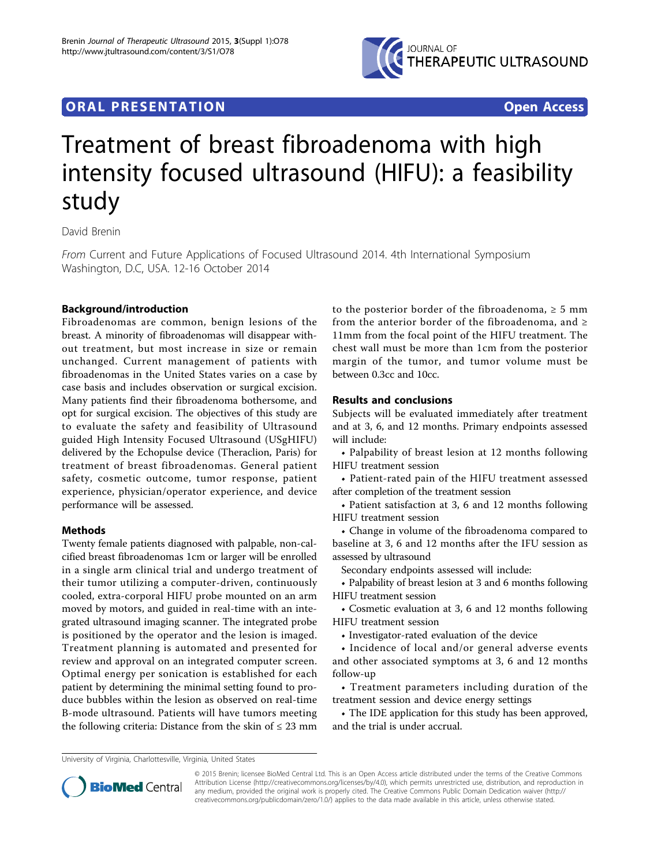

## **ORAL PRESENTATION CONSUMING ACCESS**

# Treatment of breast fibroadenoma with high intensity focused ultrasound (HIFU): a feasibility study

David Brenin

From Current and Future Applications of Focused Ultrasound 2014. 4th International Symposium Washington, D.C, USA. 12-16 October 2014

### Background/introduction

Fibroadenomas are common, benign lesions of the breast. A minority of fibroadenomas will disappear without treatment, but most increase in size or remain unchanged. Current management of patients with fibroadenomas in the United States varies on a case by case basis and includes observation or surgical excision. Many patients find their fibroadenoma bothersome, and opt for surgical excision. The objectives of this study are to evaluate the safety and feasibility of Ultrasound guided High Intensity Focused Ultrasound (USgHIFU) delivered by the Echopulse device (Theraclion, Paris) for treatment of breast fibroadenomas. General patient safety, cosmetic outcome, tumor response, patient experience, physician/operator experience, and device performance will be assessed.

### Methods

Twenty female patients diagnosed with palpable, non-calcified breast fibroadenomas 1cm or larger will be enrolled in a single arm clinical trial and undergo treatment of their tumor utilizing a computer-driven, continuously cooled, extra-corporal HIFU probe mounted on an arm moved by motors, and guided in real-time with an integrated ultrasound imaging scanner. The integrated probe is positioned by the operator and the lesion is imaged. Treatment planning is automated and presented for review and approval on an integrated computer screen. Optimal energy per sonication is established for each patient by determining the minimal setting found to produce bubbles within the lesion as observed on real-time B-mode ultrasound. Patients will have tumors meeting the following criteria: Distance from the skin of  $\leq 23$  mm

to the posterior border of the fibroadenoma,  $\geq 5$  mm from the anterior border of the fibroadenoma, and  $\geq$ 11mm from the focal point of the HIFU treatment. The chest wall must be more than 1cm from the posterior margin of the tumor, and tumor volume must be between 0.3cc and 10cc.

#### Results and conclusions

Subjects will be evaluated immediately after treatment and at 3, 6, and 12 months. Primary endpoints assessed will include:

• Palpability of breast lesion at 12 months following HIFU treatment session

• Patient-rated pain of the HIFU treatment assessed after completion of the treatment session

• Patient satisfaction at 3, 6 and 12 months following HIFU treatment session

• Change in volume of the fibroadenoma compared to baseline at 3, 6 and 12 months after the IFU session as assessed by ultrasound

Secondary endpoints assessed will include:

• Palpability of breast lesion at 3 and 6 months following HIFU treatment session

• Cosmetic evaluation at 3, 6 and 12 months following HIFU treatment session

• Investigator-rated evaluation of the device

• Incidence of local and/or general adverse events and other associated symptoms at 3, 6 and 12 months follow-up

• Treatment parameters including duration of the treatment session and device energy settings

• The IDE application for this study has been approved, and the trial is under accrual.

University of Virginia, Charlottesville, Virginia, United States



© 2015 Brenin; licensee BioMed Central Ltd. This is an Open Access article distributed under the terms of the Creative Commons Attribution License [\(http://creativecommons.org/licenses/by/4.0](http://creativecommons.org/licenses/by/4.0)), which permits unrestricted use, distribution, and reproduction in any medium, provided the original work is properly cited. The Creative Commons Public Domain Dedication waiver [\(http://](http://creativecommons.org/publicdomain/zero/1.0/) [creativecommons.org/publicdomain/zero/1.0/](http://creativecommons.org/publicdomain/zero/1.0/)) applies to the data made available in this article, unless otherwise stated.